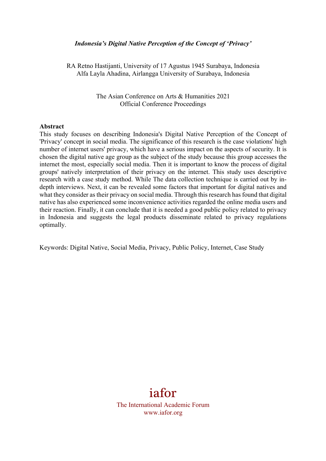#### *Indonesia's Digital Native Perception of the Concept of 'Privacy'*

RA Retno Hastijanti, University of 17 Agustus 1945 Surabaya, Indonesia Alfa Layla Ahadina, Airlangga University of Surabaya, Indonesia

> The Asian Conference on Arts & Humanities 2021 Official Conference Proceedings

#### **Abstract**

This study focuses on describing Indonesia's Digital Native Perception of the Concept of 'Privacy' concept in social media. The significance of this research is the case violations' high number of internet users' privacy, which have a serious impact on the aspects of security. It is chosen the digital native age group as the subject of the study because this group accesses the internet the most, especially social media. Then it is important to know the process of digital groups' natively interpretation of their privacy on the internet. This study uses descriptive research with a case study method. While The data collection technique is carried out by indepth interviews. Next, it can be revealed some factors that important for digital natives and what they consider as their privacy on social media. Through this research has found that digital native has also experienced some inconvenience activities regarded the online media users and their reaction. Finally, it can conclude that it is needed a good public policy related to privacy in Indonesia and suggests the legal products disseminate related to privacy regulations optimally.

Keywords: Digital Native, Social Media, Privacy, Public Policy, Internet, Case Study

# iafor

The International Academic Forum www.iafor.org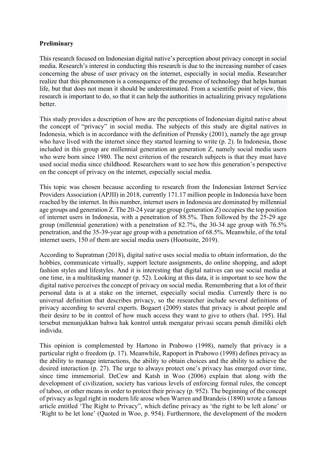# **Preliminary**

This research focused on Indonesian digital native's perception about privacy concept in social media. Research's interest in conducting this research is due to the increasing number of cases concerning the abuse of user privacy on the internet, especially in social media. Researcher realize that this phenomenon is a consequence of the presence of technology that helps human life, but that does not mean it should be underestimated. From a scientific point of view, this research is important to do, so that it can help the authorities in actualizing privacy regulations better.

This study provides a description of how are the perceptions of Indonesian digital native about the concept of "privacy" in social media. The subjects of this study are digital natives in Indonesia, which is in accordance with the definition of Prensky (2001), namely the age group who have lived with the internet since they started learning to write (p. 2). In Indonesia, those included in this group are millennial generation an generation Z, namely social media users who were born since 1980. The next criterion of the research subjects is that they must have used social media since childhood. Researchers want to see how this generation's perspective on the concept of privacy on the internet, especially social media.

This topic was chosen because according to research from the Indonesian Internet Service Providers Association (APJII) in 2018, currently 171.17 million people in Indonesia have been reached by the internet. In this number, internet users in Indonesia are dominated by millennial age groups and generation Z. The 20-24 year age group (generation Z) occupies the top position of internet users in Indonesia, with a penetration of 88.5%. Then followed by the 25-29 age group (millennial generation) with a penetration of 82.7%, the 30-34 age group with 76.5% penetration, and the 35-39-year age group with a penetration of 68.5%. Meanwhile, of the total internet users, 150 of them are social media users (Hootsuite, 2019).

According to Supratman (2018), digital native uses social media to obtain information, do the hobbies, communicate virtually, support lecture assignments, do online shopping, and adopt fashion styles and lifestyles. And it is interesting that digital natives can use social media at one time, in a multitasking manner (p. 52). Looking at this data, it is important to see how the digital native perceives the concept of privacy on social media. Remembering that a lot of their personal data is at a stake on the internet, especially social media. Currently there is no universal definition that describes privacy, so the researcher include several definitions of privacy according to several experts. Bogaert (2009) states that privacy is about people and their desire to be in control of how much access they want to give to others (hal. 195). Hal tersebut menunjukkan bahwa hak kontrol untuk mengatur privasi secara penuh dimiliki oleh individu.

This opinion is complemented by Hartono in Prabowo (1998), namely that privacy is a particular right o freedom (p. 17). Meanwhile, Rapoport in Prabowo (1998) defines privacy as the ability to manage interactions, the ability to obtain choices and the ability to achieve the desired interaction (p. 27). The urge to always protect one's privacy has emerged over time, since time immemorial. DeCew and Katsh in Woo (2006) explain that along with the development of civilization, society has various levels of enforcing formal rules, the concept of taboo, or other means in order to protect their privacy (p. 952). The beginning of the concept of privacy as legal right in modern life arose when Warren and Brandeis (1890) wrote a famous article entitled 'The Right to Privacy", which define privacy as 'the right to be left alone' or 'Right to be let lone' (Quoted in Woo, p. 954). Furthermore, the development of the modern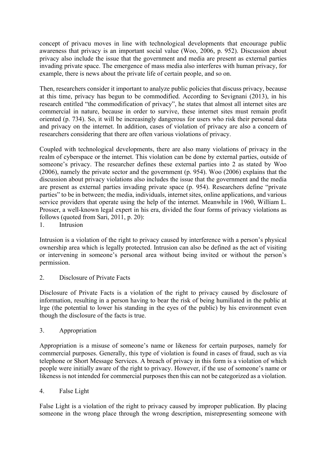concept of privacu moves in line with technological developments that encourage public awareness that privacy is an important social value (Woo, 2006, p. 952). Discussion about privacy also include the issue that the government and media are present as external parties invading private space. The emergence of mass media also interferes with human privacy, for example, there is news about the private life of certain people, and so on.

Then, researchers consider it important to analyze public policies that discuss privacy, because at this time, privacy has begun to be commodified. According to Sevignani (2013), in his research entitled "the commodification of privacy", he states that almost all internet sites are commercial in nature, because in order to survive, these internet sites must remain profit oriented (p. 734). So, it will be increasingly dangerous for users who risk their personal data and privacy on the internet. In addition, cases of violation of privacy are also a concern of researchers considering that there are often various violations of privacy.

Coupled with technological developments, there are also many violations of privacy in the realm of cyberspace or the internet. This violation can be done by external parties, outside of someone's privacy. The researcher defines these external parties into 2 as stated by Woo (2006), namely the private sector and the government (p. 954). Woo (2006) explains that the discussion about privacy violations also includes the issue that the government and the media are present as external parties invading private space (p. 954). Researchers define "private parties" to be in between; the media, individuals, internet sites, online applications, and various service providers that operate using the help of the internet. Meanwhile in 1960, William L. Prosser, a well-known legal expert in his era, divided the four forms of privacy violations as follows (quoted from Sari, 2011, p. 20):

1. Intrusion

Intrusion is a violation of the right to privacy caused by interference with a person's physical ownership area which is legally protected. Intrusion can also be defined as the act of visiting or intervening in someone's personal area without being invited or without the person's permission.

2. Disclosure of Private Facts

Disclosure of Private Facts is a violation of the right to privacy caused by disclosure of information, resulting in a person having to bear the risk of being humiliated in the public at lrge (the potential to lower his standing in the eyes of the public) by his environment even though the disclosure of the facts is true.

3. Appropriation

Appropriation is a misuse of someone's name or likeness for certain purposes, namely for commercial purposes. Generally, this type of violation is found in cases of fraud, such as via telephone or Short Message Services. A breach of privacy in this form is a violation of which people were initially aware of the right to privacy. However, if the use of someone's name or likeness is not intended for commercial purposes then this can not be categorized as a violation.

# 4. False Light

False Light is a violation of the right to privacy caused by improper publication. By placing someone in the wrong place through the wrong description, misrepresenting someone with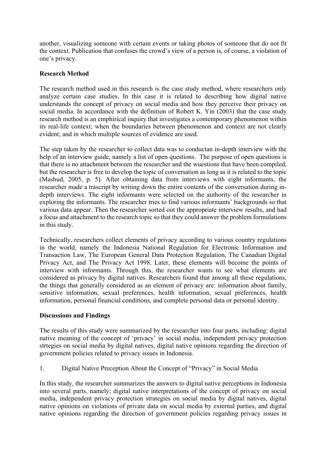another, visualizing someone with certain events or taking photos of someone that do not fit the context. Publication that confuses the crowd's view of a person is, of course, a violation of one's privacy.

# **Research Method**

The research method used in this research is the case study method, where researchers only analyze certain case studies. In this case it is related to describing how digital native understands the concept of privacy on social media and how they perceive their privacy on social media. In accordance with the definition of Robert K. Yin (2003) that the case study research method is an emphirical inquiry that investigates a contemporary phenomenon within its real-life context; when the boundaries between phenomenon and context are not clearly evident; and in which multiple sources of evidence are used.

The step taken by the researcher to collect data was to conductan in-depth interview with the help of an interview guide, namely a list of open questions. The purpose of open questions is that there is no attachment between the researcher and the wuestions that have been compiled, but the researcher is free to develop the topic of conversation as long as it is related to the topic (Mashud, 2005, p. 5). After obtaining data from interviews with eight informants, the researcher made a trascript by writing down the entire contents of the conversation during indepth interviews. The eight informants were selected on the authority of the researcher in exploring the informants. The researcher tries to find various informants' backgrounds so that various data appear. Then the researcher sorted out the appropriate interview results, and had a focus and attachment to the research topic so that they could answer the problem formulations in this study.

Technically, researchers collect elements of privacy according to various country regulations in the world, namely the Indonesia National Regulation for Electronic Information and Transaction Law, The European General Data Protection Regulation, The Canadian Digital Privacy Act, and The Privacy Act 1998. Later, these elements will become the points of interview with informants. Through this, the researcher wants to see what elements are considered as privacy by digital natives. Researchers found that among all these regulations, the things that generally considered as an element of privacy are: information about family, sensitive information, sexual preferences, health information, sexual preferences, health information, personal financial conditions, and complete personal data or personal identity.

# **Discussions and Findings**

The results of this study were summarized by the researcher into four parts, including: digital native meaning of the concept of 'privacy' in social media, independent privacy protection strtegies on social media by digital natives, digital native opinions regarding the direction of government policies related to privacy issues in Indonesia.

1. Digital Native Preception About the Concept of "Privacy" in Social Media

In this study, the researcher summarizes the answers to digital native perceptions in Indonesia into several parts, namely; digital native interpretations of the concept of privacy on social media, independent privacy protection strategies on social media by digital natives, digital native opinions on violations of private data on social media by external parties, and digital native opinions regarding the direction of government policies regarding privacy issues in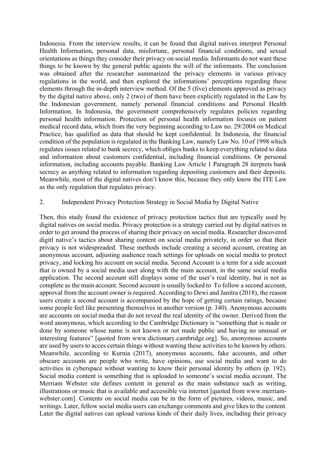Indonesia. From the interview results, it can be found that digital natives interpret Personal Health Information, personal data, misfortune, personal financial conditions, and sexual orientations as things they consider their privacy on social media. Informants do not want these things to be known by the general public againts the will of the informants. The conclusion was obtained after the researcher summarized the privacy elements in various privacy regulations in the world, and then explored the informations' perceptions regarding these elements through the in-depth interview method. Of the 5 (five) elements approved as privacy by the digital native above, only 2 (two) of them have been explicitly regulated in the Law by the Indonesian government, namely personal financial conditions and Personal Health Information. In Indonesia, the government comprehensively regulates policies regarding personal health information. Protection of personal health information focuses on patient medical record data, which from the very beginning according to Law no. 29/2004 on Medical Practice, has qualified as data that should be kept confidential. In Indonesia, the financial condition of the population is regulated in the Banking Law, namely Law No. 10 of 1998 which regulates issues related to bank secrecy, which obliges banks to keep everything related to data and information about customers confidential, including financial conditions. Or personal information, including accounts payable. Banking Law Article 1 Paragraph 28 iterprets bank secrecy as anything related to information regarding depositing customers and their deposits. Meanwhile, most of the digital natives don't know this, because they only know the ITE Law as the only regulation that regulates privacy.

#### 2. Independent Privacy Protection Strategy in Social Media by Digital Native

Then, this study found the existence of privacy protection tactics that are typically used by digital natives on social media. Privacy protection is a strategy carried out by digital natives in order to get around tha process of sharing their privacy on social media. Researcher discovered digitl native's tactics about sharing content on social media privately, in order so that their privacy is not widespreaded. These methods include creating a second account, creating an anonymous account, adjusting audience reach settings for uploads on social media to protect privacy, and locking his account on social media. Second Account is a term for a side account that is owned by a social media user along with the main account, in the same social media application. The second account still displays some of the user's real identity, but is not as complete as the main account. Second account is usually locked to To follow a second account, approval from the account owner is required. According to Dewi and Janitra (2018), the reason users create a second account is accompanied by the hope of getting certain ratings, because some people feel like presenting themselves in another version (p. 340). Anonymous accounts are accounts on social media that do not reveal the real identity of the owner. Derived from the word anonymous, which according to the Cambridge Dictionary is "something that is made or done by someone whose name is not known or not made public and having no unusual or interesting features" [quoted from www.dictionary.cambridge.org]. So, anonymous accounts are used by users to acces certain things without wanting these activities to be known by others. Meanwhile, according to Kurnia (2017), anonymous accounts, fake accounts, and other obscure accounts are people who write, have opinions, use social media and want to do activities in cyberspace without wanting to know their personal identity by others (p. 192). Social media content is something that is uploaded to someone's social media account. The Merriam Webster site defines content in general as the main substance such as writing, illustrations or music that is available and accessible via internet [quoted from www.merriamwebster.com]. Contents on social media can be in the form of pictures, videos, music, and writings. Later, fellow social media users can exchange comments and give likes to the content. Later the digital natives can upload various kinds of their daily lives, including their privacy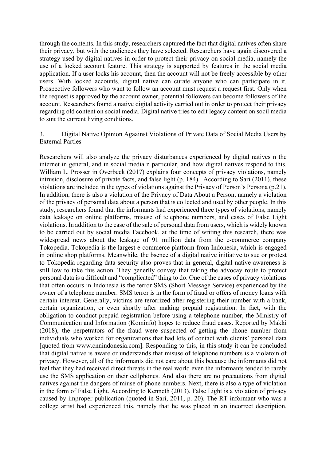through the contents. In this study, researchers captured the fact that digital natives often share their privacy, but with the audiences they have selected. Researchers have again discovered a strategy used by digital natives in order to protect their privacy on social media, namely the use of a locked account feature. This strategy is supported by features in the social media application. If a user locks his account, then the account will not be freely accessible by other users. With locked accounts, digital native can curate anyone who can participate in it. Prospective followers who want to follow an account must request a request first. Only when the request is approved by the account owner, potential followers can become followers of the account. Researchers found a native digital activity carried out in order to protect their privacy regarding old content on social media. Digital native tries to edit legacy content on socil media to suit the current living conditions.

#### 3. Digital Native Opinion Agaainst Violations of Private Data of Social Media Users by External Parties

Researchers will also analyze the privacy disturbances experienced by digital natives n the internet in general, and in social media n particular, and how digital natives respond to this. William L. Prosser in Overbeck (2017) explains four concepts of privacy violations, namely intrusion, disclosure of private facts, and false light (p. 184). According to Sari (2011), these violations are included in the types of violations against the Privacy of Person's Persona (p.21). In addition, there is also a violation of the Privacy of Data About a Person, namely a violation of the privacy of personal data about a person that is collected and used by other people. In this study, researchers found that the informants had experienced three types of violations, namely data leakage on online platforms, misuse of telephone numbers, and cases of False Light violations. In addition to the case of the sale of personal data from users, which is widely known to be carried out by social media Facebook, at the time of writing this research, there was widespread news about the leakage of 91 million data from the e-commerce company Tokopedia. Tokopedia is the largest e-commerce platform from Indonesia, which is engaged in online shop platforms. Meanwhile, the bsence of a digital native initiative to sue or protest to Tokopedia regarding data security also proves that in general, digital native awareness is still low to take this action. They generlly convey that taking the advocay route to protect personal data is a difficult and "complicated" thing to do. One of the cases of privacy violations that often occurs in Indonesia is the terror SMS (Short Message Service) experienced by the owner of a telephone number. SMS terror is in the form of fraud or offers of money loans with certain interext. Generally, victims are terorrized after registering their number with a bank, certain organization, or even shortly after making prepaid registration. In fact, with the obligation to conduct prepaid registration before using a telephone number, the Ministry of Communication and Information (Kominfo) hopes to reduce fraud cases. Reported by Makki (2018), the perpetrators of the fraud were suspected of getting the phone number from individuals who worked for organizations that had lots of contact with clients' personal data [quoted from www.cnnindonesia.com]. Responding to this, in this study it can be concluded that digital native is aware or understands that misuse of telephone numbers is a violatoin of privacy. However, all of the informants did not care about this because the informants did not feel that they had received direct threats in the real world even the informants tended to rarely use the SMS application on their cellphones. And also there are no precautions from digital natives against the dangers of miuse of phone numbers. Next, there is also a type of violation in the form of False Light. According to Kenneth (2013), False Light is a violation of privacy caused by improper publication (quoted in Sari, 2011, p. 20). The RT informant who was a college artist had experienced this, namely that he was placed in an incorrect description.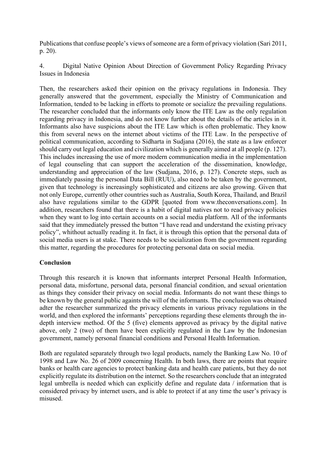Publications that confuse people's views of someone are a form of privacy violation (Sari 2011, p. 20).

4. Digital Native Opinion About Direction of Government Policy Regarding Privacy Issues in Indonesia

Then, the researchers asked their opinion on the privacy regulations in Indonesia. They generally answered that the government, especially the Ministry of Communication and Information, tended to be lacking in efforts to promote or socialize the prevailing regulations. The researcher concluded that the informants only know the ITE Law as the only regulation regarding privacy in Indonesia, and do not know further about the details of the articles in it. Informants also have suspicions about the ITE Law which is often problematic. They know this from several news on the internet about victims of the ITE Law. In the perspective of political communication, according to Sidharta in Sudjana (2016), the state as a law enforcer should carry out legal education and civilization which is generally aimed at all people (p. 127). This includes increasing the use of more modern communication media in the implementation of legal counseling that can support the acceleration of the dissemination, knowledge, understanding and appreciation of the law (Sudjana, 2016, p. 127). Concrete steps, such as immediately passing the personal Data Bill (RUU), also need to be taken by the government, given that technology is increasingly sophisticated and citizens are also growing. Given that not only Europe, currently other countries such as Australia, South Korea, Thailand, and Brazil also have regulations similar to the GDPR [quoted from www.theconversations.com]. In addition, researchers found that there is a habit of digital natives not to read privacy policies when they want to log into certain accounts on a social media platform. All of the informants said that they immediately pressed the button "I have read and understand the existing privacy policy", whithout actually reading it. In fact, it is through this option that the personal data of social media users is at stake. There needs to be socialization from the government regarding this matter, regarding the procedures for protecting personal data on social media.

# **Conclusion**

Through this research it is known that informants interpret Personal Health Information, personal data, misfortune, personal data, personal financial condition, and sexual orientation as things they consider their privacy on social media. Informants do not want these things to be known by the general public againts the will of the informants. The conclusion was obtained adter the researcher summarized the privacy elements in various privacy regulations in the world, and then explored the informants' perceptions regarding these elements through the indepth interview method. Of the 5 (five) elements approved as privacy by the digital native above, only 2 (two) of them have been explicitly regulated in the Law by the Indonesian government, namely personal financial conditions and Personal Health Information.

Both are regulated separately through two legal products, namely the Banking Law No. 10 of 1998 and Law No. 26 of 2009 concerning Health. In both laws, there are points that require banks or health care agencies to protect banking data and health care patients, but they do not explicitly regulate its distribution on the internet. So the researchers conclude that an integrated legal umbrella is needed which can explicitly define and regulate data / information that is considered privacy by internet users, and is able to protect if at any time the user's privacy is misused.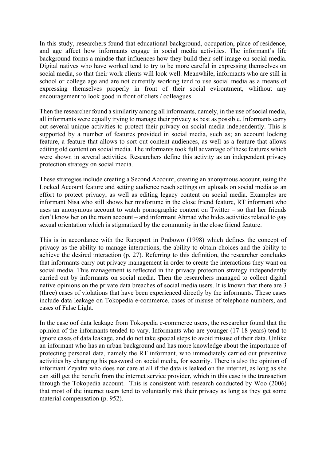In this study, researchers found that educational background, occupation, place of residence, and age affect how informants engage in social media activities. The informant's life background forms a mindse that influences how they build their self-image on social media. Digital natives who have worked tend to try to be more careful in expressing themselves on social media, so that their work clients will look well. Meanwhile, informants who are still in school or college age and are not currently working tend to use social media as a means of expressing themselves properly in front of their social evirontment, whithout any encouragement to look good in front of cliets / colleagues.

Then the researcher found a similarity among all informants, namely, in the use of social media, all informants were equally trying to manage their privacy as best as possible. Informants carry out several unique activities to protect their privacy on social media independently. This is supported by a number of features provided in social media, such as; an account locking feature, a feature that allows to sort out content audiences, as well as a feature that allows editing old content on social media. The informants took full advantage of these features which were shown in several activities. Researchers define this activity as an independent privacy protection strategy on social media.

These strategies include creating a Second Account, creating an anonymous account, using the Locked Account feature and setting audience reach settings on uploads on social media as an effort to protect privacy, as well as editing legacy content on social media. Examples are informant Nisa who still shows her misfortune in the close friend feature, RT informant who uses an anonymous account to watch pornographic content on Twitter – so that her friends don't know her on the main account – and informant Ahmad who hides activities related to gay sexual orientation which is stigmatized by the community in the close friend feature.

This is in accordance with the Rapoport in Prabowo (1998) which defines the concept of privacy as the ability to manage interactions, the ability to obtain choices and the ability to achieve the desired interaction (p. 27). Referring to this definition, the researcher concludes that informants carry out privacy management in order to create the interactions they want on social media. This management is reflected in the privacy protection strategy independently carried out by informants on social media. Then the researchers managed to collect digital native opinions on the private data breaches of social media users. It is known that there are 3 (three) cases of violations that have been experienced directly by the informants. These cases include data leakage on Tokopedia e-commerce, cases of misuse of telephone numbers, and cases of False Light.

In the case oof data leakage from Tokopedia e-commerce users, the researcher found that the opinion of the informants tended to vary. Informants who are younger (17-18 years) tend to ignore cases of data leakage, and do not take special steps to avoid misuse of their data. Unlike an informant who has an urban background and has more knowledge about the importance of protecting personal data, namely the RT informant, who immediately carried out preventive activities by changing his password on social media, for security. There is also the opinion of informant Zzyafra who does not care at all if the data is leaked on the internet, as long as she can still get the benefit from the internet service provider, which in this case is the transaction through the Tokopedia account. This is consistent with research conducted by Woo (2006) that most of the internet users tend to voluntarily risk their privacy as long as they get some material compensation (p. 952).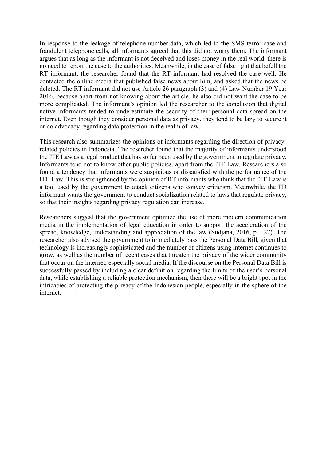In response to the leakage of telephone number data, which led to the SMS terror case and fraudulent telephone calls, all informants agreed that this did not worry them. The informant argues that as long as the informant is not deceived and loses money in the real world, there is no need to report the case to the authorities. Meanwhile, in the case of false light that befell the RT informant, the researcher found that the RT informant had resolved the case well. He contacted the online media that published false news about him, and asked that the news be deleted. The RT informant did not use Article 26 paragraph (3) and (4) Law Number 19 Year 2016, because apart from not knowing about the article, he also did not want the case to be more complicated. The informant's opinion led the researcher to the conclusion that digital native informants tended to underestimate the security of their personal data spread on the internet. Even though they consider personal data as privacy, they tend to be lazy to secure it or do advocacy regarding data protection in the realm of law.

This research also summarizes the opinions of informants regarding the direction of privacyrelated policies in Indonesia. The resercher found that the majority of informants understood the ITE Law as a legal product that has so far been used by the government to regulate privacy. Informants tend not to know other public policies, apart from the ITE Law. Researchers also found a tendency that informants were suspicious or dissatisfied with the performance of the ITE Law. This is strengthened by the opinion of RT informants who think that the ITE Law is a tool used by the government to attack citizens who convey criticism. Meanwhile, the FD informant wants the government to conduct socialization related to laws that regulate privacy, so that their insights regarding privacy regulation can increase.

Researchers suggest that the government optimize the use of more modern communication media in the implementation of legal education in order to support the acceleration of the spread, knowledge, understanding and appreciation of the law (Sudjana, 2016, p. 127). The researcher also advised the government to immediately pass the Personal Data Bill, given that technology is increasingly sophisticated and the number of citizens using internet continues to grow, as well as the number of recent cases that threaten the privacy of the wider community that occur on the internet, especially social media. If the discourse on the Personal Data Bill is successfully passed by including a clear definition regarding the limits of the user's personal data, while establishing a reliable protection mechanism, then there will be a bright spot in the intricacies of protecting the privacy of the Indonesian people, especially in the sphere of the internet.